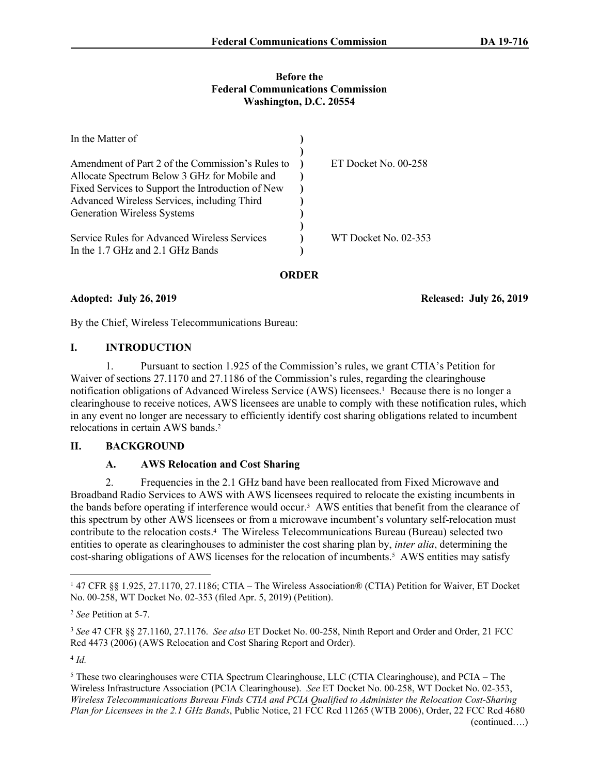#### **Before the Federal Communications Commission Washington, D.C. 20554**

| In the Matter of                                  |                      |
|---------------------------------------------------|----------------------|
|                                                   |                      |
| Amendment of Part 2 of the Commission's Rules to  | ET Docket No. 00-258 |
| Allocate Spectrum Below 3 GHz for Mobile and      |                      |
| Fixed Services to Support the Introduction of New |                      |
| Advanced Wireless Services, including Third       |                      |
| <b>Generation Wireless Systems</b>                |                      |
|                                                   |                      |
| Service Rules for Advanced Wireless Services      | WT Docket No. 02-353 |
| In the 1.7 GHz and 2.1 GHz Bands                  |                      |

**ORDER**

**Adopted: July 26, 2019 Released: July 26, 2019**

By the Chief, Wireless Telecommunications Bureau:

## **I. INTRODUCTION**

1. Pursuant to section 1.925 of the Commission's rules, we grant CTIA's Petition for Waiver of sections 27.1170 and 27.1186 of the Commission's rules, regarding the clearinghouse notification obligations of Advanced Wireless Service (AWS) licensees.<sup>1</sup> Because there is no longer a clearinghouse to receive notices, AWS licensees are unable to comply with these notification rules, which in any event no longer are necessary to efficiently identify cost sharing obligations related to incumbent relocations in certain AWS bands.<sup>2</sup>

# **II. BACKGROUND**

# **A. AWS Relocation and Cost Sharing**

2. Frequencies in the 2.1 GHz band have been reallocated from Fixed Microwave and Broadband Radio Services to AWS with AWS licensees required to relocate the existing incumbents in the bands before operating if interference would occur.<sup>3</sup> AWS entities that benefit from the clearance of this spectrum by other AWS licensees or from a microwave incumbent's voluntary self-relocation must contribute to the relocation costs.<sup>4</sup> The Wireless Telecommunications Bureau (Bureau) selected two entities to operate as clearinghouses to administer the cost sharing plan by, *inter alia*, determining the cost-sharing obligations of AWS licenses for the relocation of incumbents.<sup>5</sup> AWS entities may satisfy

4 *Id.*

<sup>1</sup> 47 CFR §§ 1.925, 27.1170, 27.1186; CTIA – The Wireless Association® (CTIA) Petition for Waiver, ET Docket No. 00-258, WT Docket No. 02-353 (filed Apr. 5, 2019) (Petition).

<sup>2</sup> *See* Petition at 5-7.

<sup>3</sup> *See* 47 CFR §§ 27.1160, 27.1176. *See also* ET Docket No. 00-258, Ninth Report and Order and Order, 21 FCC Rcd 4473 (2006) (AWS Relocation and Cost Sharing Report and Order).

<sup>&</sup>lt;sup>5</sup> These two clearinghouses were CTIA Spectrum Clearinghouse, LLC (CTIA Clearinghouse), and PCIA – The Wireless Infrastructure Association (PCIA Clearinghouse). *See* ET Docket No. 00-258, WT Docket No. 02-353, *Wireless Telecommunications Bureau Finds CTIA and PCIA Qualified to Administer the Relocation Cost-Sharing Plan for Licensees in the 2.1 GHz Bands*, Public Notice, 21 FCC Rcd 11265 (WTB 2006), Order, 22 FCC Rcd 4680 (continued….)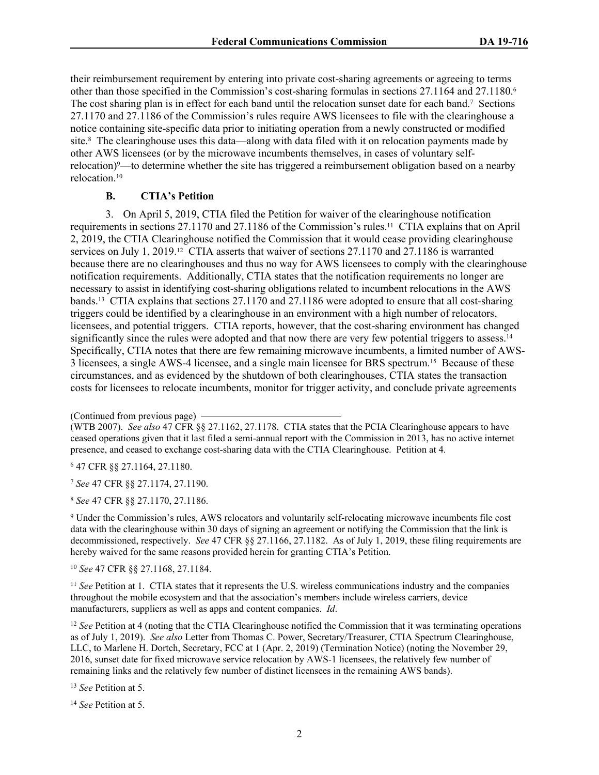their reimbursement requirement by entering into private cost-sharing agreements or agreeing to terms other than those specified in the Commission's cost-sharing formulas in sections 27.1164 and 27.1180.<sup>6</sup> The cost sharing plan is in effect for each band until the relocation sunset date for each band.<sup>7</sup> Sections 27.1170 and 27.1186 of the Commission's rules require AWS licensees to file with the clearinghouse a notice containing site-specific data prior to initiating operation from a newly constructed or modified site.<sup>8</sup> The clearinghouse uses this data—along with data filed with it on relocation payments made by other AWS licensees (or by the microwave incumbents themselves, in cases of voluntary selfrelocation)9—to determine whether the site has triggered a reimbursement obligation based on a nearby relocation.<sup>10</sup>

## **B. CTIA's Petition**

3. On April 5, 2019, CTIA filed the Petition for waiver of the clearinghouse notification requirements in sections 27.1170 and 27.1186 of the Commission's rules.11 CTIA explains that on April 2, 2019, the CTIA Clearinghouse notified the Commission that it would cease providing clearinghouse services on July 1, 2019.12 CTIA asserts that waiver of sections 27.1170 and 27.1186 is warranted because there are no clearinghouses and thus no way for AWS licensees to comply with the clearinghouse notification requirements. Additionally, CTIA states that the notification requirements no longer are necessary to assist in identifying cost-sharing obligations related to incumbent relocations in the AWS bands.13 CTIA explains that sections 27.1170 and 27.1186 were adopted to ensure that all cost-sharing triggers could be identified by a clearinghouse in an environment with a high number of relocators, licensees, and potential triggers. CTIA reports, however, that the cost-sharing environment has changed significantly since the rules were adopted and that now there are very few potential triggers to assess.<sup>14</sup> Specifically, CTIA notes that there are few remaining microwave incumbents, a limited number of AWS-3 licensees, a single AWS-4 licensee, and a single main licensee for BRS spectrum.15 Because of these circumstances, and as evidenced by the shutdown of both clearinghouses, CTIA states the transaction costs for licensees to relocate incumbents, monitor for trigger activity, and conclude private agreements

6 47 CFR §§ 27.1164, 27.1180.

<sup>7</sup> *See* 47 CFR §§ 27.1174, 27.1190.

<sup>8</sup> *See* 47 CFR §§ 27.1170, 27.1186.

9 Under the Commission's rules, AWS relocators and voluntarily self-relocating microwave incumbents file cost data with the clearinghouse within 30 days of signing an agreement or notifying the Commission that the link is decommissioned, respectively. *See* 47 CFR §§ 27.1166, 27.1182. As of July 1, 2019, these filing requirements are hereby waived for the same reasons provided herein for granting CTIA's Petition.

<sup>10</sup> *See* 47 CFR §§ 27.1168, 27.1184.

<sup>11</sup> *See* Petition at 1. CTIA states that it represents the U.S. wireless communications industry and the companies throughout the mobile ecosystem and that the association's members include wireless carriers, device manufacturers, suppliers as well as apps and content companies. *Id*.

<sup>12</sup> *See* Petition at 4 (noting that the CTIA Clearinghouse notified the Commission that it was terminating operations as of July 1, 2019). *See also* Letter from Thomas C. Power, Secretary/Treasurer, CTIA Spectrum Clearinghouse, LLC, to Marlene H. Dortch, Secretary, FCC at 1 (Apr. 2, 2019) (Termination Notice) (noting the November 29, 2016, sunset date for fixed microwave service relocation by AWS-1 licensees, the relatively few number of remaining links and the relatively few number of distinct licensees in the remaining AWS bands).

<sup>13</sup> *See* Petition at 5.

<sup>14</sup> *See* Petition at 5.

<sup>(</sup>Continued from previous page)

<sup>(</sup>WTB 2007). *See also* 47 CFR §§ 27.1162, 27.1178. CTIA states that the PCIA Clearinghouse appears to have ceased operations given that it last filed a semi-annual report with the Commission in 2013, has no active internet presence, and ceased to exchange cost-sharing data with the CTIA Clearinghouse. Petition at 4.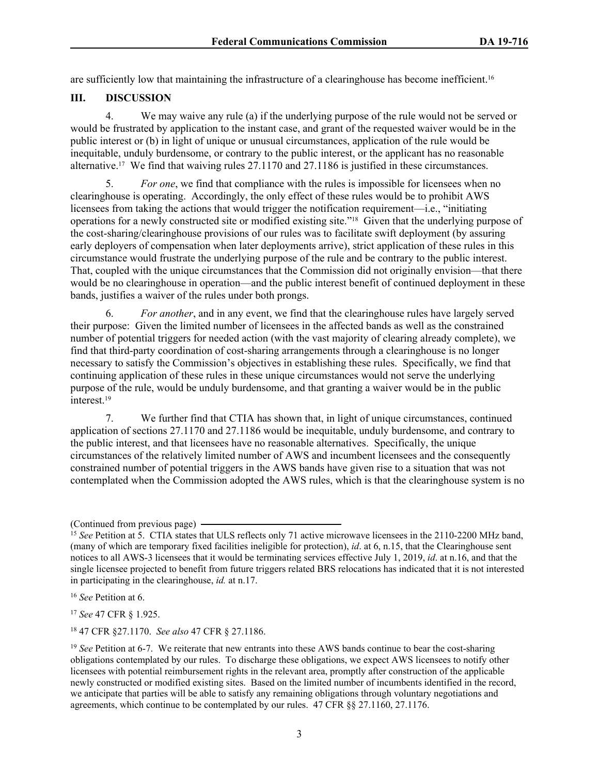are sufficiently low that maintaining the infrastructure of a clearinghouse has become inefficient. 16

## **III. DISCUSSION**

4. We may waive any rule (a) if the underlying purpose of the rule would not be served or would be frustrated by application to the instant case, and grant of the requested waiver would be in the public interest or (b) in light of unique or unusual circumstances, application of the rule would be inequitable, unduly burdensome, or contrary to the public interest, or the applicant has no reasonable alternative.17 We find that waiving rules 27.1170 and 27.1186 is justified in these circumstances.

5. *For one*, we find that compliance with the rules is impossible for licensees when no clearinghouse is operating. Accordingly, the only effect of these rules would be to prohibit AWS licensees from taking the actions that would trigger the notification requirement—i.e., "initiating operations for a newly constructed site or modified existing site."18 Given that the underlying purpose of the cost-sharing/clearinghouse provisions of our rules was to facilitate swift deployment (by assuring early deployers of compensation when later deployments arrive), strict application of these rules in this circumstance would frustrate the underlying purpose of the rule and be contrary to the public interest. That, coupled with the unique circumstances that the Commission did not originally envision—that there would be no clearinghouse in operation—and the public interest benefit of continued deployment in these bands, justifies a waiver of the rules under both prongs.

6. *For another*, and in any event, we find that the clearinghouse rules have largely served their purpose: Given the limited number of licensees in the affected bands as well as the constrained number of potential triggers for needed action (with the vast majority of clearing already complete), we find that third-party coordination of cost-sharing arrangements through a clearinghouse is no longer necessary to satisfy the Commission's objectives in establishing these rules. Specifically, we find that continuing application of these rules in these unique circumstances would not serve the underlying purpose of the rule, would be unduly burdensome, and that granting a waiver would be in the public interest.<sup>19</sup>

7. We further find that CTIA has shown that, in light of unique circumstances, continued application of sections 27.1170 and 27.1186 would be inequitable, unduly burdensome, and contrary to the public interest, and that licensees have no reasonable alternatives. Specifically, the unique circumstances of the relatively limited number of AWS and incumbent licensees and the consequently constrained number of potential triggers in the AWS bands have given rise to a situation that was not contemplated when the Commission adopted the AWS rules, which is that the clearinghouse system is no

<sup>17</sup> *See* 47 CFR § 1.925.

<sup>18</sup> 47 CFR §27.1170. *See also* 47 CFR § 27.1186.

<sup>(</sup>Continued from previous page)

<sup>15</sup> *See* Petition at 5. CTIA states that ULS reflects only 71 active microwave licensees in the 2110-2200 MHz band, (many of which are temporary fixed facilities ineligible for protection), *id*. at 6, n.15, that the Clearinghouse sent notices to all AWS-3 licensees that it would be terminating services effective July 1, 2019, *id*. at n.16, and that the single licensee projected to benefit from future triggers related BRS relocations has indicated that it is not interested in participating in the clearinghouse, *id.* at n.17.

<sup>16</sup> *See* Petition at 6.

<sup>19</sup> *See* Petition at 6-7. We reiterate that new entrants into these AWS bands continue to bear the cost-sharing obligations contemplated by our rules. To discharge these obligations, we expect AWS licensees to notify other licensees with potential reimbursement rights in the relevant area, promptly after construction of the applicable newly constructed or modified existing sites. Based on the limited number of incumbents identified in the record, we anticipate that parties will be able to satisfy any remaining obligations through voluntary negotiations and agreements, which continue to be contemplated by our rules. 47 CFR §§ 27.1160, 27.1176.